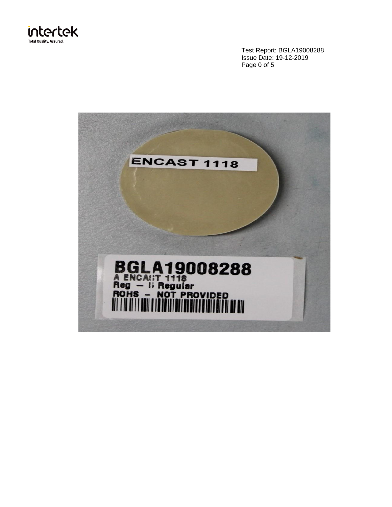

Test Report: BGLA19008288 Issue Date: 19-12-2019 Page 0 of 5

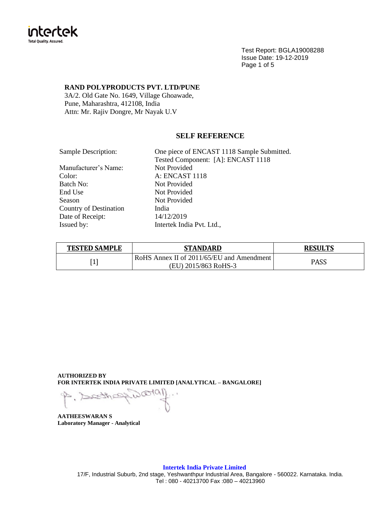

Test Report: BGLA19008288 Issue Date: 19-12-2019 Page 1 of 5

## **RAND POLYPRODUCTS PVT. LTD/PUNE**

3A/2. Old Gate No. 1649, Village Ghoawade, Pune, Maharashtra, 412108, India Attn: Mr. Rajiv Dongre, Mr Nayak U.V

# **SELF REFERENCE**

| One piece of ENCAST 1118 Sample Submitted. |
|--------------------------------------------|
| Tested Component: [A]: ENCAST 1118         |
| Not Provided                               |
| <b>A: ENCAST 1118</b>                      |
| Not Provided                               |
| Not Provided                               |
| Not Provided                               |
| India                                      |
| 14/12/2019                                 |
| Intertek India Pvt. Ltd.,                  |
|                                            |

| <b>TESTED SAMPLE</b> | STANDARD                                  | <b>RESULTS</b> |
|----------------------|-------------------------------------------|----------------|
| Г1 і                 | RoHS Annex II of 2011/65/EU and Amendment | <b>PASS</b>    |
| Ŧ                    | (EU) 2015/863 RoHS-3                      |                |

**AUTHORIZED BY FOR INTERTEK INDIA PRIVATE LIMITED [ANALYTICAL – BANGALORE]**

**AATHEESWARAN S Laboratory Manager - Analytical**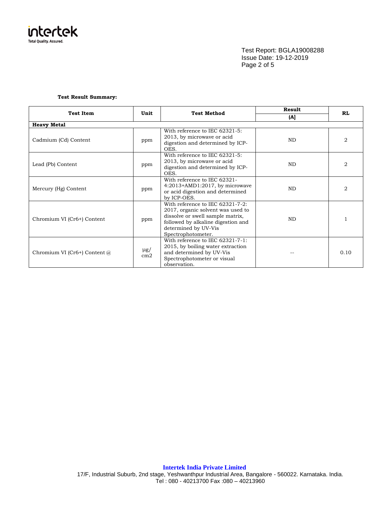

Test Report: BGLA19008288 Issue Date: 19-12-2019 Page 2 of 5

#### **Test Result Summary:**

| <b>Test Item</b>                    | Unit                        | <b>Test Method</b>                                                                                                                                                                            | Result    | <b>RL</b> |
|-------------------------------------|-----------------------------|-----------------------------------------------------------------------------------------------------------------------------------------------------------------------------------------------|-----------|-----------|
|                                     |                             |                                                                                                                                                                                               | (A)       |           |
| <b>Heavy Metal</b>                  |                             |                                                                                                                                                                                               |           |           |
| Cadmium (Cd) Content                | ppm                         | With reference to IEC 62321-5:<br>2013, by microwave or acid<br>digestion and determined by ICP-<br>OES.                                                                                      | <b>ND</b> | 2         |
| Lead (Pb) Content                   | ppm                         | With reference to IEC 62321-5:<br>2013, by microwave or acid<br>digestion and determined by ICP-<br>OES.                                                                                      | <b>ND</b> | 2         |
| Mercury (Hg) Content                | ppm                         | With reference to IEC 62321-<br>$4:2013+AMD1:2017$ , by microwave<br>or acid digestion and determined<br>by ICP-OES.                                                                          | <b>ND</b> | 2         |
| Chromium VI (Cr6+) Content          | ppm                         | With reference to IEC 62321-7-2:<br>2017, organic solvent was used to<br>dissolve or swell sample matrix,<br>followed by alkaline digestion and<br>determined by UV-Vis<br>Spectrophotometer. | <b>ND</b> |           |
| Chromium VI (Cr6+) Content $\omega$ | $\mu$ g/<br>cm <sub>2</sub> | With reference to IEC 62321-7-1:<br>2015, by boiling water extraction<br>and determined by UV-Vis<br>Spectrophotometer or visual<br>observation.                                              |           | 0.10      |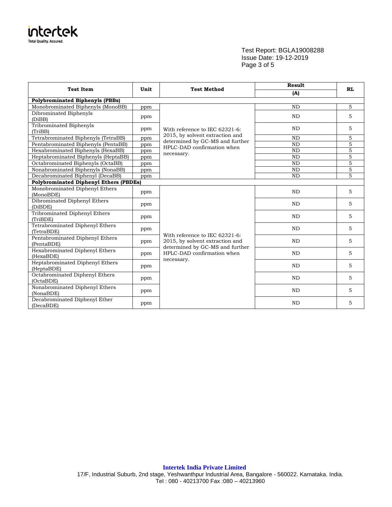

# Test Report: BGLA19008288 Issue Date: 19-12-2019 Page 3 of 5

| <b>Test Item</b>                              | Unit | <b>Test Method</b>                                                | Result    | <b>RL</b>      |  |  |
|-----------------------------------------------|------|-------------------------------------------------------------------|-----------|----------------|--|--|
|                                               |      |                                                                   | (A)       |                |  |  |
| <b>Polybrominated Biphenyls (PBBs)</b>        |      |                                                                   |           |                |  |  |
| Monobrominated Biphenyls (MonoBB)             | ppm  |                                                                   | <b>ND</b> | 5              |  |  |
| Dibrominated Biphenyls<br>(DiBB)              | ppm  |                                                                   | <b>ND</b> | 5              |  |  |
| Tribrominated Biphenyls<br>(TriBB)            | ppm  | With reference to IEC 62321-6:                                    | <b>ND</b> | 5              |  |  |
| Tetrabrominated Biphenyls (TetraBB)           | ppm  | 2015, by solvent extraction and                                   | <b>ND</b> | 5              |  |  |
| Pentabrominated Biphenyls (PentaBB)           | ppm  | determined by GC-MS and further<br>HPLC-DAD confirmation when     | <b>ND</b> | $\overline{5}$ |  |  |
| Hexabrominated Biphenyls (HexaBB)             | ppm  |                                                                   | <b>ND</b> | $\mathbf 5$    |  |  |
| Heptabrominated Biphenyls (HeptaBB)           | ppm  | necessary.                                                        | <b>ND</b> | 5              |  |  |
| Octabrominated Biphenyls (OctaBB)             | ppm  |                                                                   | <b>ND</b> | 5              |  |  |
| Nonabrominated Biphenyls (NonaBB)             | ppm  |                                                                   | ND        | $\overline{5}$ |  |  |
| Decabrominated Biphenyl (DecaBB)              | ppm  |                                                                   | <b>ND</b> | 5              |  |  |
| <b>Polybrominated Diphenyl Ethers (PBDEs)</b> |      |                                                                   |           |                |  |  |
| Monobrominated Diphenyl Ethers<br>(MonoBDE)   | ppm  |                                                                   | <b>ND</b> | 5              |  |  |
| Dibrominated Diphenyl Ethers<br>(DiBDE)       | ppm  |                                                                   | <b>ND</b> | 5              |  |  |
| Tribrominated Diphenyl Ethers<br>(TriBDE)     | ppm  |                                                                   | <b>ND</b> | 5              |  |  |
| Tetrabrominated Diphenyl Ethers<br>(TetraBDE) | ppm  |                                                                   | <b>ND</b> | 5              |  |  |
| Pentabrominated Diphenyl Ethers<br>(PentaBDE) | ppm  | With reference to IEC 62321-6:<br>2015, by solvent extraction and | <b>ND</b> | 5              |  |  |
| Hexabrominated Diphenyl Ethers<br>(HexaBDE)   | ppm  | determined by GC-MS and further<br>HPLC-DAD confirmation when     | <b>ND</b> | 5              |  |  |
| Heptabrominated Diphenyl Ethers<br>(HeptaBDE) | ppm  | necessary.                                                        | <b>ND</b> | 5              |  |  |
| Octabrominated Diphenyl Ethers<br>(OctaBDE)   | ppm  |                                                                   | <b>ND</b> | 5              |  |  |
| Nonabrominated Diphenyl Ethers<br>(NonaBDE)   | ppm  |                                                                   | <b>ND</b> | 5              |  |  |
| Decabrominated Diphenyl Ether<br>(DecaBDE)    | ppm  |                                                                   | <b>ND</b> | 5              |  |  |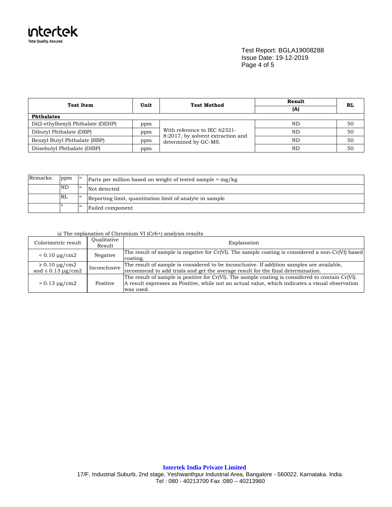

Test Report: BGLA19008288 Issue Date: 19-12-2019 Page 4 of 5

| <b>Test Item</b>                         | Unit | <b>Test Method</b>                                                | <b>Result</b> | RL |  |
|------------------------------------------|------|-------------------------------------------------------------------|---------------|----|--|
|                                          |      |                                                                   | (A)           |    |  |
| <b>Phthalates</b>                        |      |                                                                   |               |    |  |
| Di(2-ethylhexyl) Phthalate (DEHP)<br>ppm |      | With reference to IEC 62321-<br>8:2017, by solvent extraction and | ND            | 50 |  |
| Dibutyl Phthalate (DBP)<br>ppm           |      |                                                                   | ND            | 50 |  |
| Benzyl Butyl Phthalate (BBP)             | ppm  | determined by GC-MS.                                              | ND            | 50 |  |
| Diisobutyl Phthalate (DIBP)<br>ppm       |      |                                                                   | ND            | 50 |  |

| Remarks: | ppm | $=$ | Parts per million based on weight of tested sample $=$ mg/kg |
|----------|-----|-----|--------------------------------------------------------------|
|          | ND  | $=$ | Not detected                                                 |
|          | RL  | $=$ | Reporting limit, quantitation limit of analyte in sample     |
|          |     | '=  | Failed component                                             |

### @ The explanation of Chromium VI (Cr6+) analysis results

| Colorimetric result                                        | Oualitative<br>Result | Explanation                                                                                                                                                                                                      |
|------------------------------------------------------------|-----------------------|------------------------------------------------------------------------------------------------------------------------------------------------------------------------------------------------------------------|
| $< 0.10 \mu g/cm2$                                         | Negative              | The result of sample is negative for Cr(VI). The sample coating is considered a non-Cr(VI) based<br>coating.                                                                                                     |
| $\geq 0.10 \,\mathrm{µg/cm2}$<br>and $\leq 0.13 \mu$ g/cm2 | Inconclusive          | The result of sample is considered to be inconclusive. If addition samples are available,<br>recommend to add trials and get the average result for the final determination.                                     |
| $> 0.13 \mu g/cm2$                                         | Positive              | The result of sample is positive for Cr(VI). The sample coating is considered to contain Cr(VI).<br>A result expresses as Positive, while not an actual value, which indicates a visual observation<br>was used. |